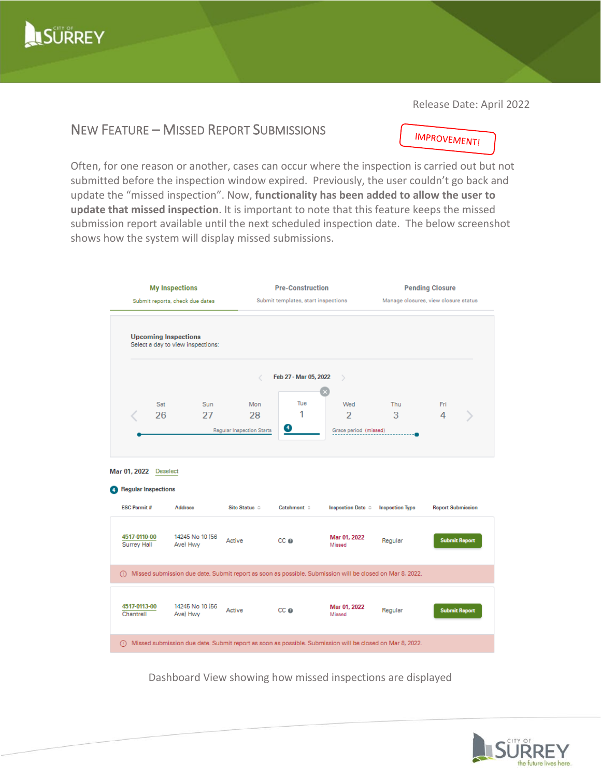

Release Date: April 2022

## NEW FEATURE – MISSED REPORT SUBMISSIONS

**IMPROVEMENT!** 

Often, for one reason or another, cases can occur where the inspection is carried out but not submitted before the inspection window expired. Previously, the user couldn't go back and update the "missed inspection". Now, **functionality has been added to allow the user to update that missed inspection**. It is important to note that this feature keeps the missed submission report available until the next scheduled inspection date. The below screenshot shows how the system will display missed submissions.



Dashboard View showing how missed inspections are displayed